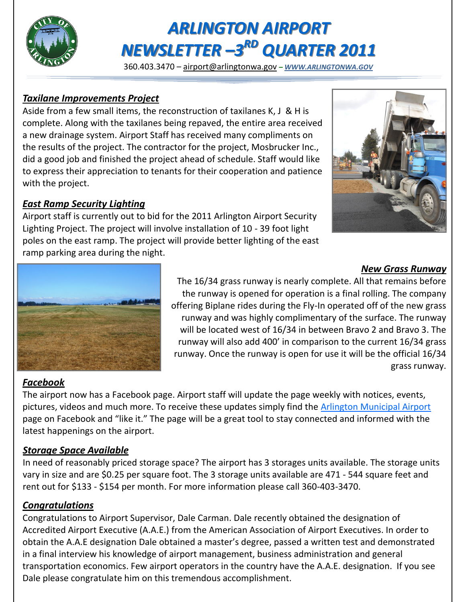

# *ARLINGTON AIRPORT NEWSLETTER –3 RD QUARTER 2011*

360.403.3470 – [airport@arlingtonwa.gov](mailto:airport@arlingtonwa.gov) *– [WWW.ARLINGTONWA.GOV](http://www.arlingtonwa.gov)*

#### *Taxilane Improvements Project*

Aside from a few small items, the reconstruction of taxilanes K, J & H is complete. Along with the taxilanes being repaved, the entire area received a new drainage system. Airport Staff has received many compliments on the results of the project. The contractor for the project, Mosbrucker Inc., did a good job and finished the project ahead of schedule. Staff would like to express their appreciation to tenants for their cooperation and patience with the project.

#### *East Ramp Security Lighting*

Airport staff is currently out to bid for the 2011 Arlington Airport Security Lighting Project. The project will involve installation of 10 - 39 foot light poles on the east ramp. The project will provide better lighting of the east ramp parking area during the night.



#### *New Grass Runway*

The 16/34 grass runway is nearly complete. All that remains before the runway is opened for operation is a final rolling. The company offering Biplane rides during the Fly-In operated off of the new grass runway and was highly complimentary of the surface. The runway will be located west of 16/34 in between Bravo 2 and Bravo 3. The runway will also add 400' in comparison to the current 16/34 grass runway. Once the runway is open for use it will be the official 16/34 grass runway.

### *Facebook*

The airport now has a Facebook page. Airport staff will update the page weekly with notices, events, pictures, videos and much more. To receive these updates simply find the Arlington Municipal Airport page on Facebook and "like it." The page will be a great tool to stay connected and informed with the latest happenings on the airport.

#### *Storage Space Available*

In need of reasonably priced storage space? The airport has 3 storages units available. The storage units vary in size and are \$0.25 per square foot. The 3 storage units available are 471 - 544 square feet and rent out for \$133 - \$154 per month. For more information please call 360-403-3470.

#### *Congratulations*

Congratulations to Airport Supervisor, Dale Carman. Dale recently obtained the designation of Accredited Airport Executive (A.A.E.) from the American Association of Airport Executives. In order to obtain the A.A.E designation Dale obtained a master's degree, passed a written test and demonstrated in a final interview his knowledge of airport management, business administration and general transportation economics. Few airport operators in the country have the A.A.E. designation. If you see Dale please congratulate him on this tremendous accomplishment.